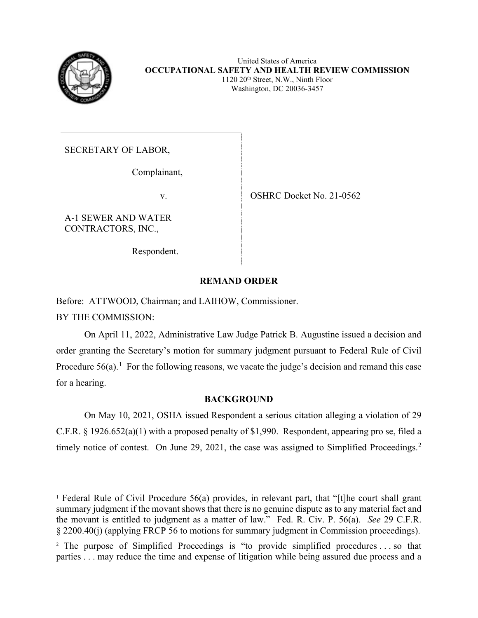

Washington, DC 20036-3457

SECRETARY OF LABOR,

Complainant,

CONTRACTORS, INC.,<br>Respondent. A-1 SEWER AND WATER

v. OSHRC Docket No. 21-0562

# **REMAND ORDER**

Before: ATTWOOD, Chairman; and LAIHOW, Commissioner.

BY THE COMMISSION:

Procedure  $56(a)$ .<sup>[1](#page-0-0)</sup> For the following reasons, we vacate the judge's decision and remand this case On April 11, 2022, Administrative Law Judge Patrick B. Augustine issued a decision and order granting the Secretary's motion for summary judgment pursuant to Federal Rule of Civil for a hearing.

# **BACKGROUND**

timely notice of contest. On June 29, 2021, the case was assigned to Simplified Proceedings.<sup>2</sup> On May 10, 2021, OSHA issued Respondent a serious citation alleging a violation of 29 C.F.R. § 1926.652(a)(1) with a proposed penalty of \$1,990. Respondent, appearing pro se, filed a

<span id="page-0-0"></span> the movant is entitled to judgment as a matter of law." Fed. R. Civ. P. 56(a). *See* 29 C.F.R. 1 Federal Rule of Civil Procedure 56(a) provides, in relevant part, that "[t]he court shall grant summary judgment if the movant shows that there is no genuine dispute as to any material fact and § 2200.40(j) (applying FRCP 56 to motions for summary judgment in Commission proceedings).

<span id="page-0-1"></span><sup>&</sup>lt;sup>2</sup> The purpose of Simplified Proceedings is "to provide simplified procedures ... so that parties . . . may reduce the time and expense of litigation while being assured due process and a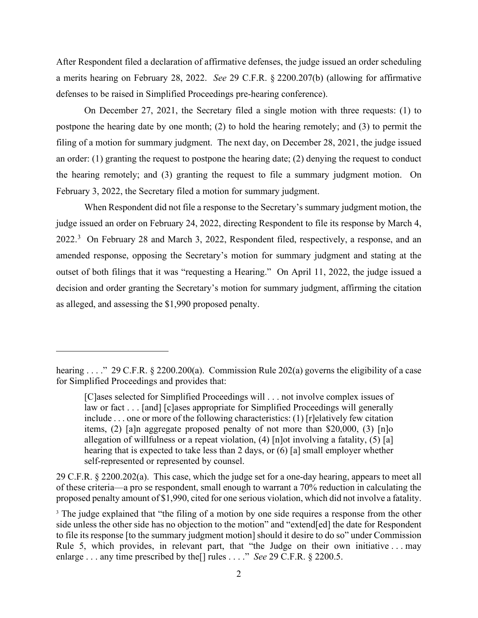After Respondent filed a declaration of affirmative defenses, the judge issued an order scheduling a merits hearing on February 28, 2022. *See* 29 C.F.R. § 2200.207(b) (allowing for affirmative defenses to be raised in Simplified Proceedings pre-hearing conference).

On December 27, 2021, the Secretary filed a single motion with three requests: (1) to postpone the hearing date by one month; (2) to hold the hearing remotely; and (3) to permit the filing of a motion for summary judgment. The next day, on December 28, 2021, the judge issued an order: (1) granting the request to postpone the hearing date; (2) denying the request to conduct the hearing remotely; and (3) granting the request to file a summary judgment motion. On February 3, 2022, the Secretary filed a motion for summary judgment.

2022.<sup>3</sup> On February 28 and March 3, 2022, Respondent filed, respectively, a response, and an When Respondent did not file a response to the Secretary's summary judgment motion, the judge issued an order on February 24, 2022, directing Respondent to file its response by March 4, amended response, opposing the Secretary's motion for summary judgment and stating at the outset of both filings that it was "requesting a Hearing." On April 11, 2022, the judge issued a decision and order granting the Secretary's motion for summary judgment, affirming the citation as alleged, and assessing the \$1,990 proposed penalty.

29 C.F.R. § 2200.202(a). This case, which the judge set for a one-day hearing, appears to meet all of these criteria—a pro se respondent, small enough to warrant a 70% reduction in calculating the proposed penalty amount of \$1,990, cited for one serious violation, which did not involve a fatality.

 hearing . . . ." 29 C.F.R. § 2200.200(a). Commission Rule 202(a) governs the eligibility of a case for Simplified Proceedings and provides that:

 allegation of willfulness or a repeat violation, (4) [n]ot involving a fatality, (5) [a] hearing that is expected to take less than 2 days, or (6) [a] small employer whether  $[C]$ ases selected for Simplified Proceedings will  $\ldots$  not involve complex issues of law or fact . . . [and] [c]ases appropriate for Simplified Proceedings will generally include . . . one or more of the following characteristics: (1) [r]elatively few citation items, (2) [a]n aggregate proposed penalty of not more than \$20,000, (3) [n]o self-represented or represented by counsel.

<span id="page-1-0"></span> to file its response [to the summary judgment motion] should it desire to do so" under Commission Rule 5, which provides, in relevant part, that "the Judge on their own initiative . . . may enlarge . . . any time prescribed by the[] rules . . . ." *See* 29 C.F.R. § 2200.5. <sup>3</sup> The judge explained that "the filing of a motion by one side requires a response from the other side unless the other side has no objection to the motion" and "extend[ed] the date for Respondent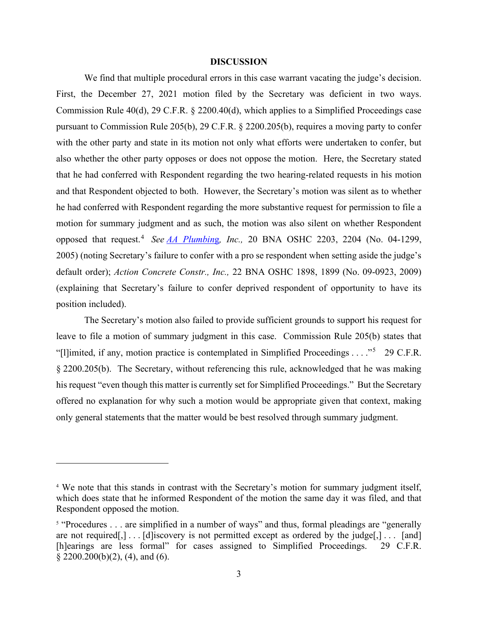#### **DISCUSSION**

 he had conferred with Respondent regarding the more substantive request for permission to file a opposed that request.[4](#page-2-0) *See AA Plumbin*g*, Inc.,* 20 BNA OSHC 2203, 2204 (No. 04-1299, 2005) (noting Secretary's failure to confer with a pro se respondent when setting aside the judge's We find that multiple procedural errors in this case warrant vacating the judge's decision. First, the December 27, 2021 motion filed by the Secretary was deficient in two ways. Commission Rule 40(d), 29 C.F.R. § 2200.40(d), which applies to a Simplified Proceedings case pursuant to Commission Rule 205(b), 29 C.F.R. § 2200.205(b), requires a moving party to confer with the other party and state in its motion not only what efforts were undertaken to confer, but also whether the other party opposes or does not oppose the motion. Here, the Secretary stated that he had conferred with Respondent regarding the two hearing-related requests in his motion and that Respondent objected to both. However, the Secretary's motion was silent as to whether motion for summary judgment and as such, the motion was also silent on whether Respondent default order); *Action Concrete Constr., Inc.,* 22 BNA OSHC 1898, 1899 (No. 09-0923, 2009) (explaining that Secretary's failure to confer deprived respondent of opportunity to have its position included).

"[l]imited, if any, motion practice is contemplated in Simplified Proceedings  $\dots$ ."<sup>[5](#page-2-1)</sup> 29 C.F.R. The Secretary's motion also failed to provide sufficient grounds to support his request for leave to file a motion of summary judgment in this case. Commission Rule 205(b) states that § 2200.205(b). The Secretary, without referencing this rule, acknowledged that he was making his request "even though this matter is currently set for Simplified Proceedings." But the Secretary offered no explanation for why such a motion would be appropriate given that context, making only general statements that the matter would be best resolved through summary judgment.

<span id="page-2-0"></span> Respondent opposed the motion. <sup>4</sup> We note that this stands in contrast with the Secretary's motion for summary judgment itself, which does state that he informed Respondent of the motion the same day it was filed, and that

<span id="page-2-1"></span> are not required[,] . . . [d]iscovery is not permitted except as ordered by the judge[,] . . . [and] <sup>5</sup> "Procedures . . . are simplified in a number of ways" and thus, formal pleadings are "generally [h]earings are less formal" for cases assigned to Simplified Proceedings. 29 C.F.R. § 2200.200(b)(2), (4), and (6).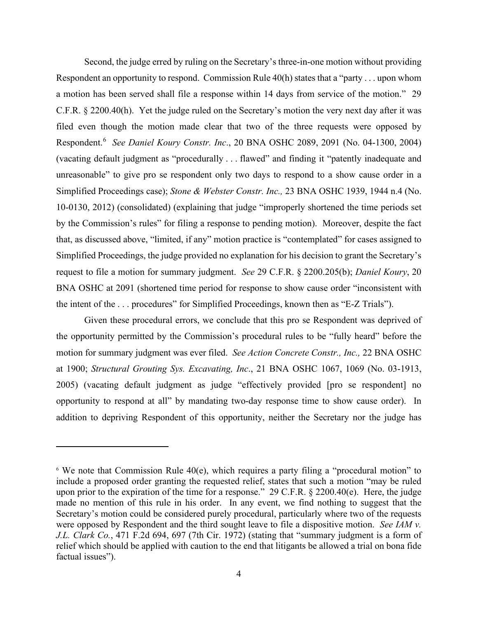a motion has been served shall file a response within 14 days from service of the motion." 29 Respondent.[6](#page-3-0) *See Daniel Koury Constr. Inc*., 20 BNA OSHC 2089, 2091 (No. 04-1300, 2004) (vacating default judgment as "procedurally . . . flawed" and finding it "patently inadequate and the intent of the ... procedures" for Simplified Proceedings, known then as "E-Z Trials"). Second, the judge erred by ruling on the Secretary's three-in-one motion without providing Respondent an opportunity to respond. Commission Rule 40(h) states that a "party . . . upon whom C.F.R. § 2200.40(h). Yet the judge ruled on the Secretary's motion the very next day after it was filed even though the motion made clear that two of the three requests were opposed by unreasonable" to give pro se respondent only two days to respond to a show cause order in a Simplified Proceedings case); *Stone & Webster Constr. Inc.,* 23 BNA OSHC 1939, 1944 n.4 (No. 10-0130, 2012) (consolidated) (explaining that judge "improperly shortened the time periods set by the Commission's rules" for filing a response to pending motion). Moreover, despite the fact that, as discussed above, "limited, if any" motion practice is "contemplated" for cases assigned to Simplified Proceedings, the judge provided no explanation for his decision to grant the Secretary's request to file a motion for summary judgment. *See* 29 C.F.R. § 2200.205(b); *Daniel Koury*, 20 BNA OSHC at 2091 (shortened time period for response to show cause order "inconsistent with

 motion for summary judgment was ever filed. *See Action Concrete Constr., Inc.,* 22 BNA OSHC Given these procedural errors, we conclude that this pro se Respondent was deprived of the opportunity permitted by the Commission's procedural rules to be "fully heard" before the at 1900; *Structural Grouting Sys. Excavating, Inc*., 21 BNA OSHC 1067, 1069 (No. 03-1913, 2005) (vacating default judgment as judge "effectively provided [pro se respondent] no opportunity to respond at all" by mandating two-day response time to show cause order). In addition to depriving Respondent of this opportunity, neither the Secretary nor the judge has

<span id="page-3-0"></span> $6$  We note that Commission Rule 40(e), which requires a party filing a "procedural motion" to include a proposed order granting the requested relief, states that such a motion "may be ruled upon prior to the expiration of the time for a response." 29 C.F.R. § 2200.40(e). Here, the judge made no mention of this rule in his order. In any event, we find nothing to suggest that the Secretary's motion could be considered purely procedural, particularly where two of the requests were opposed by Respondent and the third sought leave to file a dispositive motion. *See IAM v. J.L. Clark Co.*, 471 F.2d 694, 697 (7th Cir. 1972) (stating that "summary judgment is a form of relief which should be applied with caution to the end that litigants be allowed a trial on bona fide factual issues").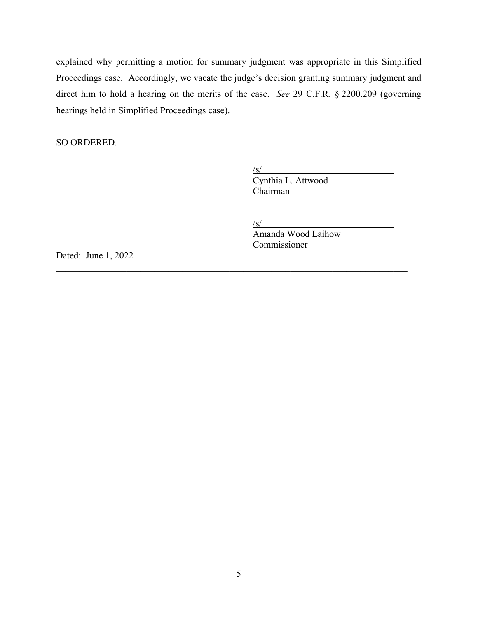hearings held in Simplified Proceedings case). explained why permitting a motion for summary judgment was appropriate in this Simplified Proceedings case. Accordingly, we vacate the judge's decision granting summary judgment and direct him to hold a hearing on the merits of the case. *See* 29 C.F.R. § 2200.209 (governing

SO ORDERED.

/s/ Cynthia L. Attwood Chairman

 $/s/$ 

\_\_\_\_\_\_\_\_\_\_\_\_\_\_\_\_\_\_\_\_\_\_\_\_\_\_\_\_\_\_\_\_\_\_\_\_\_\_\_\_\_\_\_\_\_\_\_\_\_\_\_\_\_\_\_\_\_\_\_\_\_\_\_\_\_\_\_\_\_\_\_\_\_\_\_

Amanda Wood Laihow Commissioner

Dated: June 1, 2022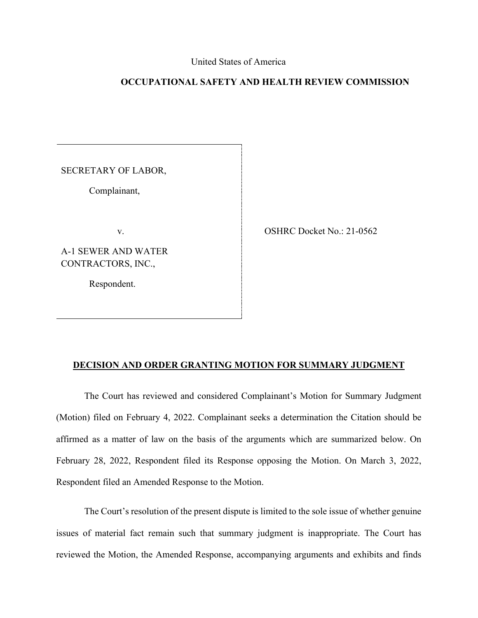# United States of America

# **OCCUPATIONAL SAFETY AND HEALTH REVIEW COMMISSION**

SECRETARY OF LABOR,

Complainant,

A-1 SEWER AND WATER CONTRACTORS, INC.,

Respondent.

SECRETARY OF LABOR,<br>
Complainant,<br>
v. OSHRC Docket No.: 21-0562

# **DECISION AND ORDER GRANTING MOTION FOR SUMMARY JUDGMENT**

The Court has reviewed and considered Complainant's Motion for Summary Judgment (Motion) filed on February 4, 2022. Complainant seeks a determination the Citation should be affirmed as a matter of law on the basis of the arguments which are summarized below. On February 28, 2022, Respondent filed its Response opposing the Motion. On March 3, 2022, Respondent filed an Amended Response to the Motion.

The Court's resolution of the present dispute is limited to the sole issue of whether genuine issues of material fact remain such that summary judgment is inappropriate. The Court has reviewed the Motion, the Amended Response, accompanying arguments and exhibits and finds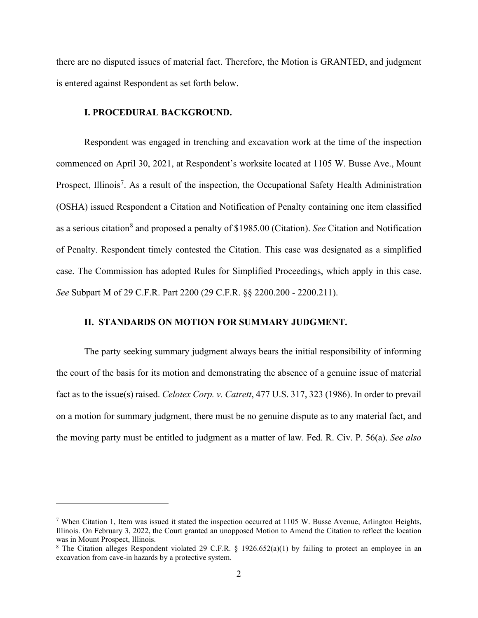there are no disputed issues of material fact. Therefore, the Motion is GRANTED, and judgment is entered against Respondent as set forth below.

### **I. PROCEDURAL BACKGROUND.**

 *See* Subpart M of 29 C.F.R. Part 2200 (29 C.F.R. §§ 2200.200 - 2200.211). Respondent was engaged in trenching and excavation work at the time of the inspection commenced on April 30, 2021, at Respondent's worksite located at 1105 W. Busse Ave., Mount Prospect, Illinois<sup>[7](#page-6-0)</sup>. As a result of the inspection, the Occupational Safety Health Administration (OSHA) issued Respondent a Citation and Notification of Penalty containing one item classified as a serious citation<sup>8</sup> and proposed a penalty of \$1985.00 (Citation). *See* Citation and Notification of Penalty. Respondent timely contested the Citation. This case was designated as a simplified case. The Commission has adopted Rules for Simplified Proceedings, which apply in this case.

# **II. STANDARDS ON MOTION FOR SUMMARY JUDGMENT.**

The party seeking summary judgment always bears the initial responsibility of informing the court of the basis for its motion and demonstrating the absence of a genuine issue of material fact as to the issue(s) raised. *Celotex Corp. v. Catrett*, 477 U.S. 317, 323 (1986). In order to prevail on a motion for summary judgment, there must be no genuine dispute as to any material fact, and the moving party must be entitled to judgment as a matter of law. Fed. R. Civ. P. 56(a). *See also* 

<span id="page-6-0"></span><sup>&</sup>lt;sup>7</sup> When Citation 1, Item was issued it stated the inspection occurred at 1105 W. Busse Avenue, Arlington Heights, Illinois. On February 3, 2022, the Court granted an unopposed Motion to Amend the Citation to reflect the location was in Mount Prospect, Illinois.

<span id="page-6-1"></span><sup>&</sup>lt;sup>8</sup> The Citation alleges Respondent violated 29 C.F.R. § 1926.652(a)(1) by failing to protect an employee in an excavation from cave-in hazards by a protective system.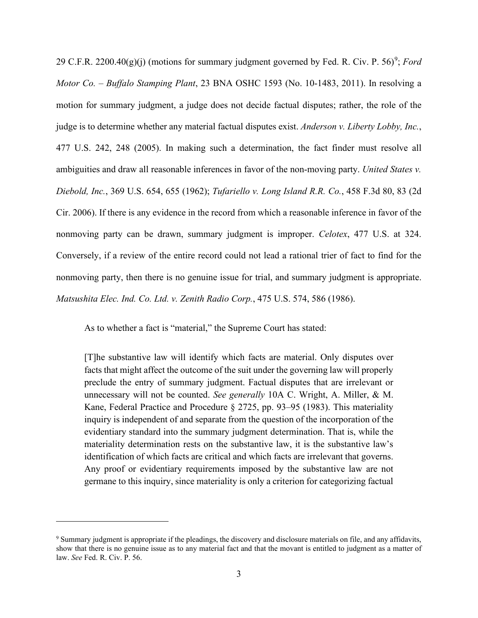ambiguities and draw all reasonable inferences in favor of the non-moving party. *United States v.*  Conversely, if a review of the entire record could not lead a rational trier of fact to find for the 2[9](#page-7-0) C.F.R.  $2200.40(g)(j)$  (motions for summary judgment governed by Fed. R. Civ. P.  $56)^9$ ; *Ford Motor Co.* – *Buffalo Stamping Plant*, 23 BNA OSHC 1593 (No. 10-1483, 2011). In resolving a motion for summary judgment, a judge does not decide factual disputes; rather, the role of the judge is to determine whether any material factual disputes exist. *Anderson v. Liberty Lobby, Inc.*, 477 U.S. 242, 248 (2005). In making such a determination, the fact finder must resolve all *Diebold, Inc.*, 369 U.S. 654, 655 (1962); *Tufariello v. Long Island R.R. Co.*, 458 F.3d 80, 83 (2d Cir. 2006). If there is any evidence in the record from which a reasonable inference in favor of the nonmoving party can be drawn, summary judgment is improper. *Celotex*, 477 U.S. at 324. nonmoving party, then there is no genuine issue for trial, and summary judgment is appropriate. *Matsushita Elec. Ind. Co. Ltd. v. Zenith Radio Corp.*, 475 U.S. 574, 586 (1986).

As to whether a fact is "material," the Supreme Court has stated:

 identification of which facts are critical and which facts are irrelevant that governs. Any proof or evidentiary requirements imposed by the substantive law are not [T]he substantive law will identify which facts are material. Only disputes over facts that might affect the outcome of the suit under the governing law will properly preclude the entry of summary judgment. Factual disputes that are irrelevant or unnecessary will not be counted. *See generally* 10A C. Wright, A. Miller, & M. Kane, Federal Practice and Procedure § 2725, pp. 93–95 (1983). This materiality inquiry is independent of and separate from the question of the incorporation of the evidentiary standard into the summary judgment determination. That is, while the materiality determination rests on the substantive law, it is the substantive law's germane to this inquiry, since materiality is only a criterion for categorizing factual

<span id="page-7-0"></span> show that there is no genuine issue as to any material fact and that the movant is entitled to judgment as a matter of 9 Summary judgment is appropriate if the pleadings, the discovery and disclosure materials on file, and any affidavits, law. *See* Fed. R. Civ. P. 56.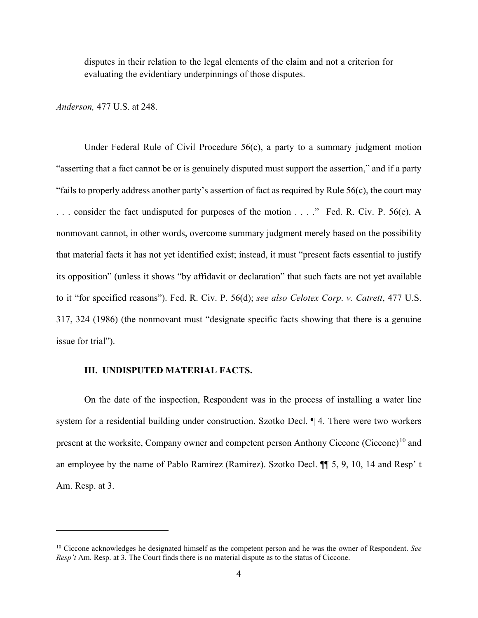disputes in their relation to the legal elements of the claim and not a criterion for evaluating the evidentiary underpinnings of those disputes.

*Anderson,* 477 U.S. at 248.

 "fails to properly address another party's assertion of fact as required by Rule 56(c), the court may . . . consider the fact undisputed for purposes of the motion . . . ." Fed. R. Civ. P. 56(e). A its opposition" (unless it shows "by affidavit or declaration" that such facts are not yet available Under Federal Rule of Civil Procedure 56(c), a party to a summary judgment motion "asserting that a fact cannot be or is genuinely disputed must support the assertion," and if a party nonmovant cannot, in other words, overcome summary judgment merely based on the possibility that material facts it has not yet identified exist; instead, it must "present facts essential to justify to it "for specified reasons"). Fed. R. Civ. P. 56(d); *see also Celotex Corp*. *v. Catrett*, 477 U.S. 317, 324 (1986) (the nonmovant must "designate specific facts showing that there is a genuine issue for trial").

# **III. UNDISPUTED MATERIAL FACTS.**

 system for a residential building under construction. Szotko Decl. ¶ 4. There were two workers On the date of the inspection, Respondent was in the process of installing a water line present at the worksite, Company owner and competent person Anthony Ciccone (Ciccone)<sup>10</sup> and an employee by the name of Pablo Ramirez (Ramirez). Szotko Decl. ¶¶ 5, 9, 10, 14 and Resp' t Am. Resp. at 3.

<span id="page-8-0"></span><sup>10</sup> Ciccone acknowledges he designated himself as the competent person and he was the owner of Respondent. *See Resp't* Am. Resp. at 3. The Court finds there is no material dispute as to the status of Ciccone.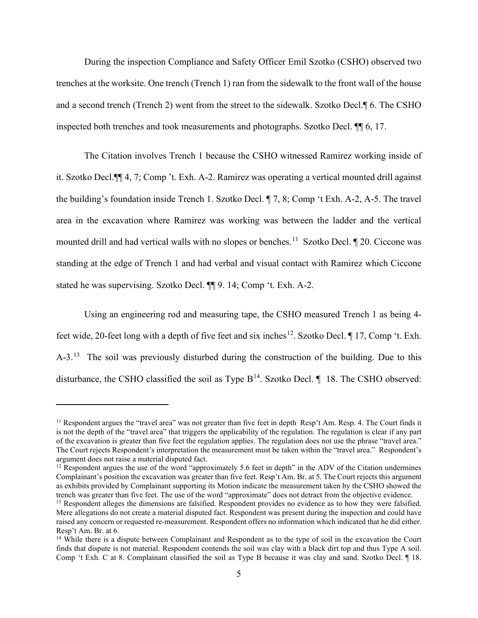During the inspection Compliance and Safety Officer Emil Szotko (CSHO) observed two trenches at the worksite. One trench (Trench 1) ran from the sidewalk to the front wall of the house and a second trench (Trench 2) went from the street to the sidewalk. Szotko Decl.¶ 6. The CSHO inspected both trenches and took measurements and photographs. Szotko Decl. ¶¶ 6, 17.

mounted drill and had vertical walls with no slopes or benches.<sup>11</sup> Szotko Decl.  $\P$  20. Ciccone was The Citation involves Trench 1 because the CSHO witnessed Ramirez working inside of it. Szotko Decl.¶¶ 4, 7; Comp 't. Exh. A-2. Ramirez was operating a vertical mounted drill against the building's foundation inside Trench 1. Szotko Decl. ¶ 7, 8; Comp 't Exh. A-2, A-5. The travel area in the excavation where Ramirez was working was between the ladder and the vertical standing at the edge of Trench 1 and had verbal and visual contact with Ramirez which Ciccone stated he was supervising. Szotko Decl. ¶¶ 9. 14; Comp 't. Exh. A-2.

feet wide, 20-feet long with a depth of five feet and six inches<sup>12</sup>. Szotko Decl.  $\P$  17, Comp 't. Exh. A-3.<sup>[13](#page-9-2)</sup> The soil was previously disturbed during the construction of the building. Due to this Using an engineering rod and measuring tape, the CSHO measured Trench 1 as being 4 disturbance, the CSHO classified the soil as Type  $B^{14}$  $B^{14}$  $B^{14}$ . Szotko Decl.  $\P$  18. The CSHO observed:

<span id="page-9-0"></span> $11$  Respondent argues the "travel area" was not greater than five feet in depth Resp't Am. Resp. 4. The Court finds it is not the depth of the "travel area" that triggers the applicability of the regulation. The regulation is clear if any part of the excavation is greater than five feet the regulation applies. The regulation does not use the phrase "travel area." The Court rejects Respondent's interpretation the measurement must be taken within the "travel area." Respondent's argument does not raise a material disputed fact.

<span id="page-9-1"></span> trench was greater than five feet. The use of the word "approximate" does not detract from the objective evidence.  $12$  Respondent argues the use of the word "approximately 5.6 feet in depth" in the ADV of the Citation undermines Complainant's position the excavation was greater than five feet. Resp't Am. Br. at 5. The Court rejects this argument as exhibits provided by Complainant supporting its Motion indicate the measurement taken by the CSHO showed the

<span id="page-9-2"></span> Mere allegations do not create a material disputed fact. Respondent was present during the inspection and could have <sup>13</sup> Respondent alleges the dimensions are falsified. Respondent provides no evidence as to how they were falsified. raised any concern or requested re-measurement. Respondent offers no information which indicated that he did either. Resp't Am. Br. at 6.

<span id="page-9-3"></span><sup>&</sup>lt;sup>14</sup> While there is a dispute between Complainant and Respondent as to the type of soil in the excavation the Court finds that dispute is not material. Respondent contends the soil was clay with a black dirt top and thus Type A soil. Comp 't Exh. C at 8. Complainant classified the soil as Type B because it was clay and sand. Szotko Decl. ¶ 18.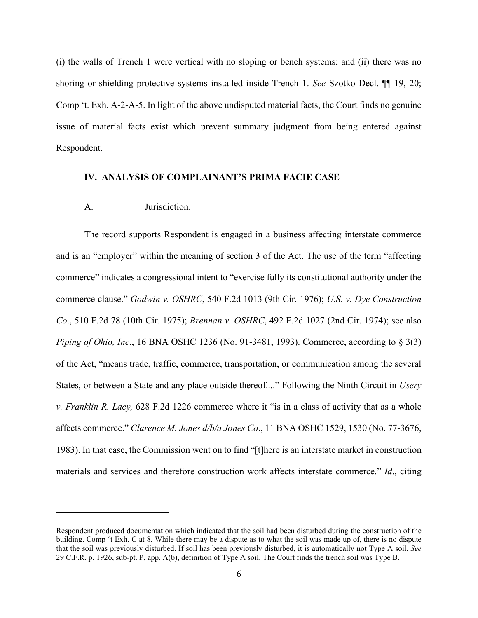Comp 't. Exh. A-2-A-5. In light of the above undisputed material facts, the Court finds no genuine (i) the walls of Trench 1 were vertical with no sloping or bench systems; and (ii) there was no shoring or shielding protective systems installed inside Trench 1. *See* Szotko Decl. ¶¶ 19, 20; issue of material facts exist which prevent summary judgment from being entered against Respondent.

#### **IV. ANALYSIS OF COMPLAINANT'S PRIMA FACIE CASE**

#### A. Jurisdiction.

 *v. Franklin R. Lacy,* 628 F.2d 1226 commerce where it "is in a class of activity that as a whole The record supports Respondent is engaged in a business affecting interstate commerce and is an "employer" within the meaning of section 3 of the Act. The use of the term "affecting commerce" indicates a congressional intent to "exercise fully its constitutional authority under the commerce clause." *Godwin v. OSHRC*, 540 F.2d 1013 (9th Cir. 1976); *U.S. v. Dye Construction Co*., 510 F.2d 78 (10th Cir. 1975); *Brennan v. OSHRC*, 492 F.2d 1027 (2nd Cir. 1974); see also *Piping of Ohio, Inc.*, 16 BNA OSHC 1236 (No. 91-3481, 1993). Commerce, according to § 3(3) of the Act, "means trade, traffic, commerce, transportation, or communication among the several States, or between a State and any place outside thereof...." Following the Ninth Circuit in *Usery*  affects commerce." *Clarence M. Jones d/b/a Jones Co*., 11 BNA OSHC 1529, 1530 (No. 77-3676, 1983). In that case, the Commission went on to find "[t]here is an interstate market in construction materials and services and therefore construction work affects interstate commerce." *Id*., citing

 that the soil was previously disturbed. If soil has been previously disturbed, it is automatically not Type A soil. *See*  29 C.F.R. p. 1926, sub-pt. P, app. A(b), definition of Type A soil. The Court finds the trench soil was Type B.<br> $6$ Respondent produced documentation which indicated that the soil had been disturbed during the construction of the building. Comp 't Exh. C at 8. While there may be a dispute as to what the soil was made up of, there is no dispute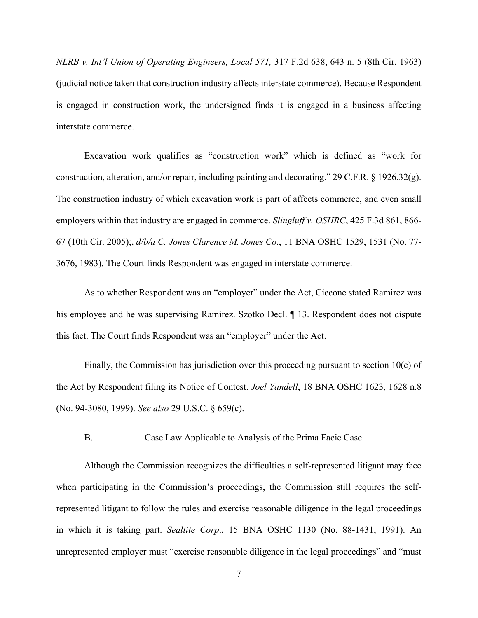interstate commerce. *NLRB v. Int'l Union of Operating Engineers, Local 571,* 317 F.2d 638, 643 n. 5 (8th Cir. 1963) (judicial notice taken that construction industry affects interstate commerce). Because Respondent is engaged in construction work, the undersigned finds it is engaged in a business affecting

 3676, 1983). The Court finds Respondent was engaged in interstate commerce. Excavation work qualifies as "construction work" which is defined as "work for construction, alteration, and/or repair, including painting and decorating." 29 C.F.R. § 1926.32(g). The construction industry of which excavation work is part of affects commerce, and even small employers within that industry are engaged in commerce. *Slingluff v. OSHRC*, 425 F.3d 861, 866- 67 (10th Cir. 2005);, *d/b/a C. Jones Clarence M. Jones Co*., 11 BNA OSHC 1529, 1531 (No. 77-

As to whether Respondent was an "employer" under the Act, Ciccone stated Ramirez was his employee and he was supervising Ramirez. Szotko Decl. ¶ 13. Respondent does not dispute this fact. The Court finds Respondent was an "employer" under the Act.

Finally, the Commission has jurisdiction over this proceeding pursuant to section 10(c) of the Act by Respondent filing its Notice of Contest. *Joel Yandell*, 18 BNA OSHC 1623, 1628 n.8 (No. 94-3080, 1999). *See also* 29 U.S.C. § 659(c).

# B. Case Law Applicable to Analysis of the Prima Facie Case.

Although the Commission recognizes the difficulties a self-represented litigant may face when participating in the Commission's proceedings, the Commission still requires the selfrepresented litigant to follow the rules and exercise reasonable diligence in the legal proceedings in which it is taking part. *Sealtite Corp*., 15 BNA OSHC 1130 (No. 88-1431, 1991). An unrepresented employer must "exercise reasonable diligence in the legal proceedings" and "must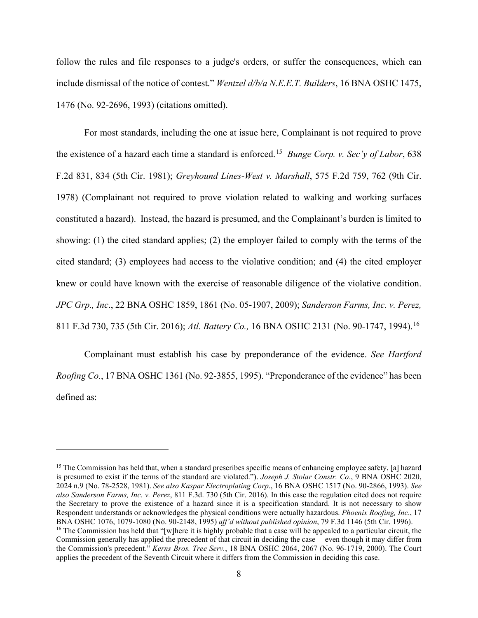1476 (No. 92-2696, 1993) (citations omitted). follow the rules and file responses to a judge's orders, or suffer the consequences, which can include dismissal of the notice of contest." *Wentzel d/b/a N.E.E.T. Builders*, 16 BNA OSHC 1475,

 the existence of a hazard each time a standard is enforced.[15](#page-12-0) *Bunge Corp. v. Sec'y of Labor*, 638 constituted a hazard). Instead, the hazard is presumed, and the Complainant's burden is limited to knew or could have known with the exercise of reasonable diligence of the violative condition. For most standards, including the one at issue here, Complainant is not required to prove F.2d 831, 834 (5th Cir. 1981); *Greyhound Lines-West v. Marshall*, 575 F.2d 759, 762 (9th Cir. 1978) (Complainant not required to prove violation related to walking and working surfaces showing: (1) the cited standard applies; (2) the employer failed to comply with the terms of the cited standard; (3) employees had access to the violative condition; and (4) the cited employer *JPC Grp., Inc*., 22 BNA OSHC 1859, 1861 (No. 05-1907, 2009); *Sanderson Farms, Inc. v. Perez,*  811 F.3d 730, 735 (5th Cir. 2016); *Atl. Battery Co.,* 16 BNA OSHC 2131 (No. 90-1747, 1994).[16](#page-12-1) 

Complainant must establish his case by preponderance of the evidence. *See Hartford Roofing Co.*, 17 BNA OSHC 1361 (No. 92-3855, 1995). "Preponderance of the evidence" has been defined as:

<span id="page-12-1"></span><span id="page-12-0"></span> Respondent understands or acknowledges the physical conditions were actually hazardous. *Phoenix Roofing, Inc*., 17 <sup>15</sup> The Commission has held that, when a standard prescribes specific means of enhancing employee safety, [a] hazard is presumed to exist if the terms of the standard are violated."). *Joseph J. Stolar Constr. Co*., 9 BNA OSHC 2020, 2024 n.9 (No. 78-2528, 1981). *See also Kaspar Electroplating Corp*., 16 BNA OSHC 1517 (No. 90-2866, 1993). *See also Sanderson Farms, Inc. v. Perez*, 811 F.3d. 730 (5th Cir. 2016). In this case the regulation cited does not require the Secretary to prove the existence of a hazard since it is a specification standard. It is not necessary to show BNA OSHC 1076, 1079-1080 (No. 90-2148, 1995) aff'd without published opinion, 79 F.3d 1146 (5th Cir. 1996).<br><sup>16</sup> The Commission has held that "[w]here it is highly probable that a case will be appealed to a particular circ Commission generally has applied the precedent of that circuit in deciding the case— even though it may differ from the Commission's precedent." *Kerns Bros. Tree Serv.*, 18 BNA OSHC 2064, 2067 (No. 96-1719, 2000). The Court applies the precedent of the Seventh Circuit where it differs from the Commission in deciding this case.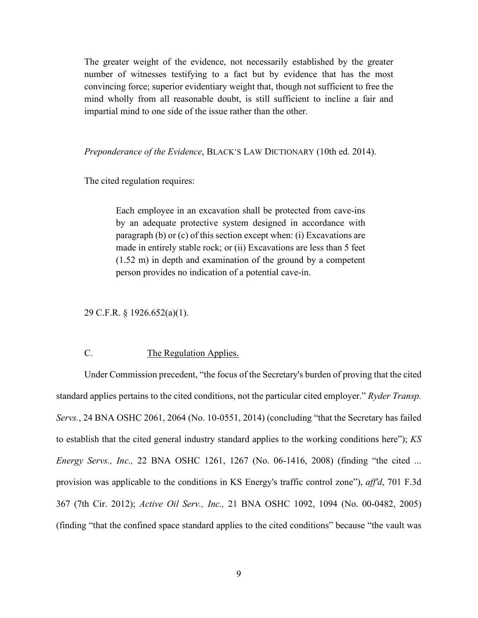The greater weight of the evidence, not necessarily established by the greater number of witnesses testifying to a fact but by evidence that has the most convincing force; superior evidentiary weight that, though not sufficient to free the mind wholly from all reasonable doubt, is still sufficient to incline a fair and impartial mind to one side of the issue rather than the other.

*Preponderance of the Evidence*, BLACK'S LAW DICTIONARY (10th ed. 2014).

The cited regulation requires:

Each employee in an excavation shall be protected from cave-ins by an adequate protective system designed in accordance with paragraph (b) or (c) of this section except when: (i) Excavations are made in entirely stable rock; or (ii) Excavations are less than 5 feet (1.52 m) in depth and examination of the ground by a competent person provides no indication of a potential cave-in.

29 C.F.R. § 1926.652(a)(1).

# C. The Regulation Applies.

 *Energy Servs., Inc.,* 22 BNA OSHC 1261, 1267 (No. 06-1416, 2008) (finding "the cited ... 367 (7th Cir. 2012); *Active Oil Serv., Inc.,* 21 BNA OSHC 1092, 1094 (No. 00-0482, 2005) Under Commission precedent, "the focus of the Secretary's burden of proving that the cited standard applies pertains to the cited conditions, not the particular cited employer." *Ryder Transp. Servs.*, 24 BNA OSHC 2061, 2064 (No. 10-0551, 2014) (concluding "that the Secretary has failed to establish that the cited general industry standard applies to the working conditions here"); *KS*  provision was applicable to the conditions in KS Energy's traffic control zone"), *aff'd*, 701 F.3d (finding "that the confined space standard applies to the cited conditions" because "the vault was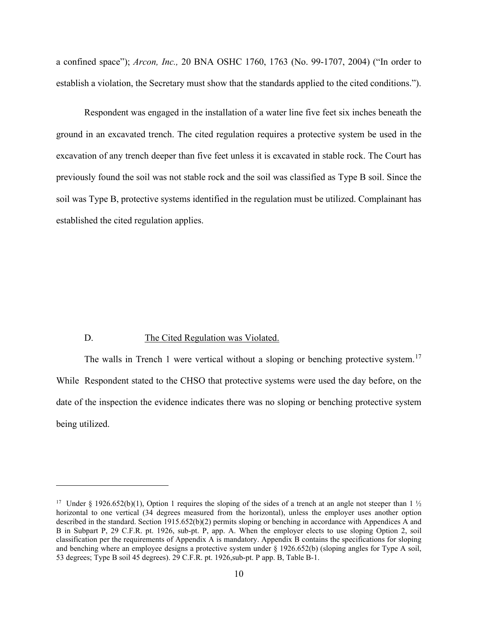a confined space"); *Arcon, Inc.,* 20 BNA OSHC 1760, 1763 (No. 99-1707, 2004) ("In order to establish a violation, the Secretary must show that the standards applied to the cited conditions.").

Respondent was engaged in the installation of a water line five feet six inches beneath the ground in an excavated trench. The cited regulation requires a protective system be used in the excavation of any trench deeper than five feet unless it is excavated in stable rock. The Court has previously found the soil was not stable rock and the soil was classified as Type B soil. Since the soil was Type B, protective systems identified in the regulation must be utilized. Complainant has established the cited regulation applies.

#### D. The Cited Regulation was Violated.

The walls in Trench 1 were vertical without a sloping or benching protective system.<sup>[17](#page-14-0)</sup> While Respondent stated to the CHSO that protective systems were used the day before, on the date of the inspection the evidence indicates there was no sloping or benching protective system being utilized.

<span id="page-14-0"></span><sup>&</sup>lt;sup>17</sup> Under § 1926.652(b)(1), Option 1 requires the sloping of the sides of a trench at an angle not steeper than 1 <sup>1</sup>/<sub>2</sub> horizontal to one vertical (34 degrees measured from the horizontal), unless the employer uses another option described in the standard. Section 1915.652(b)(2) permits sloping or benching in accordance with Appendices A and B in Subpart P, 29 C.F.R. pt. 1926, sub-pt. P, app. A. When the employer elects to use sloping Option 2, soil classification per the requirements of Appendix A is mandatory. Appendix B contains the specifications for sloping and benching where an employee designs a protective system under § 1926.652(b) (sloping angles for Type A soil, 53 degrees; Type B soil 45 degrees). 29 C.F.R. pt. 1926,sub-pt. P app. B, Table B-1.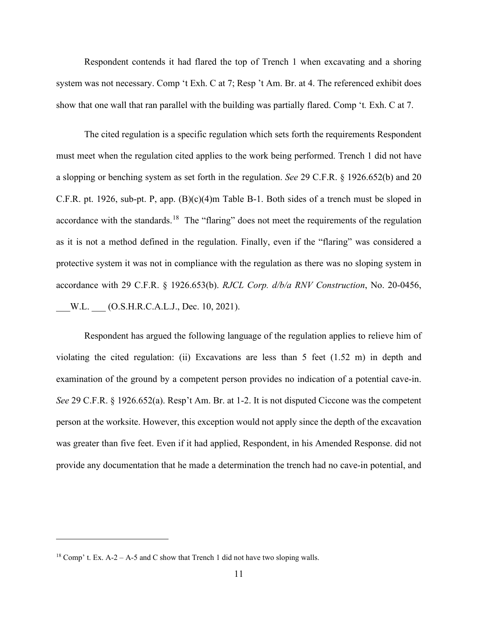show that one wall that ran parallel with the building was partially flared. Comp 't*.* Exh. C at 7. Respondent contends it had flared the top of Trench 1 when excavating and a shoring system was not necessary. Comp 't Exh. C at 7; Resp 't Am. Br. at 4. The referenced exhibit does

accordance with the standards.<sup>[18](#page-15-0)</sup> The "flaring" does not meet the requirements of the regulation accordance with 29 C.F.R. § 1926.653(b). *RJCL Corp. d/b/a RNV Construction*, No. 20-0456,<br>\_\_W.L. \_\_\_ (O.S.H.R.C.A.L.J., Dec. 10, 2021). The cited regulation is a specific regulation which sets forth the requirements Respondent must meet when the regulation cited applies to the work being performed. Trench 1 did not have a slopping or benching system as set forth in the regulation. *See* 29 C.F.R. § 1926.652(b) and 20 C.F.R. pt. 1926, sub-pt. P, app. (B)(c)(4)m Table B-1. Both sides of a trench must be sloped in as it is not a method defined in the regulation. Finally, even if the "flaring" was considered a protective system it was not in compliance with the regulation as there was no sloping system in

Respondent has argued the following language of the regulation applies to relieve him of violating the cited regulation: (ii) Excavations are less than 5 feet (1.52 m) in depth and examination of the ground by a competent person provides no indication of a potential cave-in. *See* 29 C.F.R. § 1926.652(a). Resp't Am. Br. at 1-2. It is not disputed Ciccone was the competent person at the worksite. However, this exception would not apply since the depth of the excavation was greater than five feet. Even if it had applied, Respondent, in his Amended Response. did not provide any documentation that he made a determination the trench had no cave-in potential, and

<span id="page-15-0"></span><sup>&</sup>lt;sup>18</sup> Comp' t. Ex. A-2 – A-5 and C show that Trench 1 did not have two sloping walls.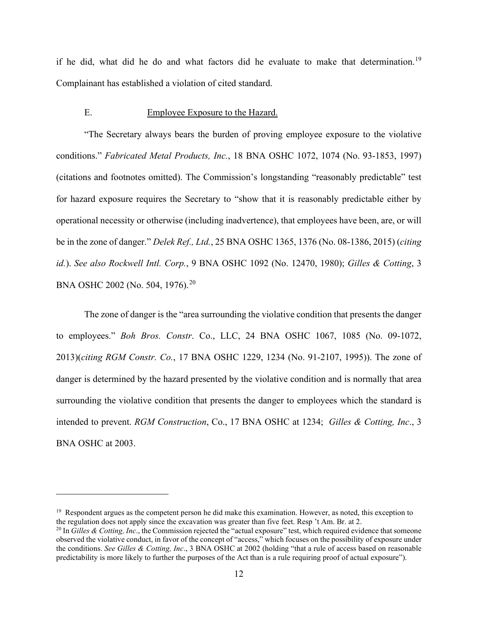if he did, what did he do and what factors did he evaluate to make that determination.<sup>[19](#page-16-0)</sup> Complainant has established a violation of cited standard.

### E. Employee Exposure to the Hazard.

 operational necessity or otherwise (including inadvertence), that employees have been, are, or will "The Secretary always bears the burden of proving employee exposure to the violative conditions." *Fabricated Metal Products, Inc.*, 18 BNA OSHC 1072, 1074 (No. 93-1853, 1997) (citations and footnotes omitted). The Commission's longstanding "reasonably predictable" test for hazard exposure requires the Secretary to "show that it is reasonably predictable either by be in the zone of danger." *Delek Ref., Ltd.*, 25 BNA OSHC 1365, 1376 (No. 08-1386, 2015) (*citing id.*). *See also Rockwell Intl. Corp.*, 9 BNA OSHC 1092 (No. 12470, 1980); *Gilles & Cotting*, 3 BNA OSHC 2002 (No. 504, 1976).[20](#page-16-1) 

 intended to prevent. *RGM Construction*, Co., 17 BNA OSHC at 1234; *Gilles & Cotting, Inc*., 3 The zone of danger is the "area surrounding the violative condition that presents the danger to employees." *Boh Bros. Constr*. Co., LLC, 24 BNA OSHC 1067, 1085 (No. 09-1072, 2013)(*citing RGM Constr. Co.*, 17 BNA OSHC 1229, 1234 (No. 91-2107, 1995)). The zone of danger is determined by the hazard presented by the violative condition and is normally that area surrounding the violative condition that presents the danger to employees which the standard is BNA OSHC at 2003.

<span id="page-16-0"></span><sup>&</sup>lt;sup>19</sup> Respondent argues as the competent person he did make this examination. However, as noted, this exception to the regulation does not apply since the excavation was greater than five feet. Resp 't Am. Br. at 2.

<span id="page-16-1"></span><sup>&</sup>lt;sup>20</sup> In *Gilles & Cotting, Inc.*, the Commission rejected the "actual exposure" test, which required evidence that someone observed the violative conduct, in favor of the concept of "access," which focuses on the possibility of exposure under the conditions. *See Gilles & Cotting, Inc*., 3 BNA OSHC at 2002 (holding "that a rule of access based on reasonable predictability is more likely to further the purposes of the Act than is a rule requiring proof of actual exposure").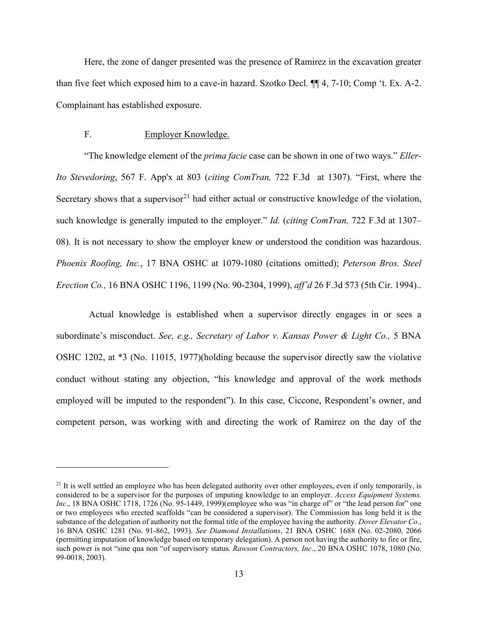Here, the zone of danger presented was the presence of Ramirez in the excavation greater than five feet which exposed him to a cave-in hazard. Szotko Decl. ¶¶ 4, 7-10; Comp 't. Ex. A-2. Complainant has established exposure.

# F. Employer Knowledge.

 "The knowledge element of the *prima facie* case can be shown in one of two ways." *Eller- Ito Stevedoring*, 567 F. App'x at 803 (*citing ComTran,* 722 F.3d at 1307). "First, where the Secretary shows that a supervisor $^{21}$  $^{21}$  $^{21}$  had either actual or constructive knowledge of the violation, such knowledge is generally imputed to the employer." *Id.* (*citing ComTran,* 722 F.3d at 1307– 08). It is not necessary to show the employer knew or understood the condition was hazardous. *Phoenix Roofing, Inc.*, 17 BNA OSHC at 1079-1080 (citations omitted); *Peterson Bros. Steel Erection Co.,* 16 BNA OSHC 1196, 1199 (No. 90-2304, 1999), *aff'd* 26 F.3d 573 (5th Cir. 1994)..

Actual knowledge is established when a supervisor directly engages in or sees a subordinate's misconduct. *See, e.g., Secretary of Labor v. Kansas Power & Light Co.*, 5 BNA OSHC 1202, at \*3 (No. 11015, 1977)(holding because the supervisor directly saw the violative conduct without stating any objection, "his knowledge and approval of the work methods employed will be imputed to the respondent"). In this case, Ciccone, Respondent's owner, and competent person, was working with and directing the work of Ramirez on the day of the

<span id="page-17-0"></span> considered to be a supervisor for the purposes of imputing knowledge to an employer. *Access Equipment Systems.*  16 BNA OSHC 1281 (No. 91-862, 1993). *See Diamond Installations*, 21 BNA OSHC 1688 (No. 02-2080, 2066  $21$  It is well settled an employee who has been delegated authority over other employees, even if only temporarily, is *Inc*., 18 BNA OSHC 1718, 1726 (No. 95-1449, 1999)(employee who was "in charge of" or "the lead person for" one or two employees who erected scaffolds "can be considered a supervisor). The Commission has long held it is the substance of the delegation of authority not the formal title of the employee having the authority. *Dover Elevator Co*., (permitting imputation of knowledge based on temporary delegation). A person not having the authority to fire or fire, such power is not "sine qua non "of supervisory status*. Rawson Contractors, Inc*., 20 BNA OSHC 1078, 1080 (No. 99-0018, 2003).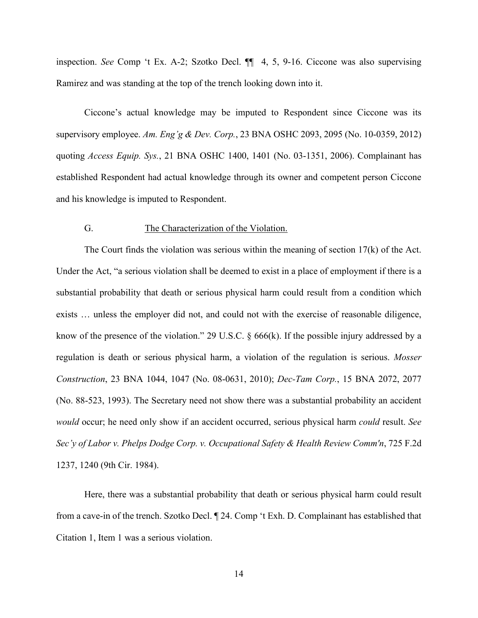inspection. *See* Comp 't Ex. A-2; Szotko Decl. ¶¶ 4, 5, 9-16. Ciccone was also supervising Ramirez and was standing at the top of the trench looking down into it.

 Ciccone's actual knowledge may be imputed to Respondent since Ciccone was its supervisory employee. *Am. Eng'g & Dev. Corp.*, 23 BNA OSHC 2093, 2095 (No. 10-0359, 2012) quoting *Access Equip. Sys.*, 21 BNA OSHC 1400, 1401 (No. 03-1351, 2006). Complainant has established Respondent had actual knowledge through its owner and competent person Ciccone and his knowledge is imputed to Respondent.

# G. The Characterization of the Violation.

 (No. 88-523, 1993). The Secretary need not show there was a substantial probability an accident *would* occur; he need only show if an accident occurred, serious physical harm *could* result. *See*  The Court finds the violation was serious within the meaning of section  $17(k)$  of the Act. Under the Act, "a serious violation shall be deemed to exist in a place of employment if there is a substantial probability that death or serious physical harm could result from a condition which exists … unless the employer did not, and could not with the exercise of reasonable diligence, know of the presence of the violation." 29 U.S.C.  $\&$  666(k). If the possible injury addressed by a regulation is death or serious physical harm, a violation of the regulation is serious. *Mosser Construction*, 23 BNA 1044, 1047 (No. 08-0631, 2010); *Dec-Tam Corp.*, 15 BNA 2072, 2077 *Sec'y of Labor v. Phelps Dodge Corp. v. Occupational Safety & Health Review Comm'n*, 725 F.2d 1237, 1240 (9th Cir. 1984).

Here, there was a substantial probability that death or serious physical harm could result from a cave-in of the trench. Szotko Decl. ¶ 24. Comp 't Exh. D. Complainant has established that Citation 1, Item 1 was a serious violation.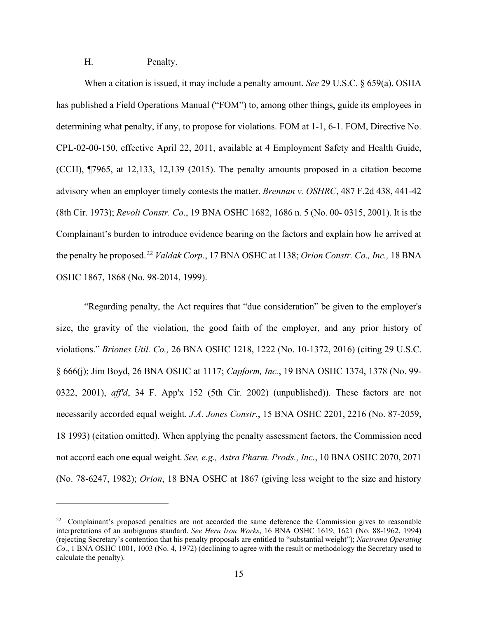# H. Penalty.

 Complainant's burden to introduce evidence bearing on the factors and explain how he arrived at When a citation is issued, it may include a penalty amount. *See* 29 U.S.C. § 659(a). OSHA has published a Field Operations Manual ("FOM") to, among other things, guide its employees in determining what penalty, if any, to propose for violations. FOM at 1-1, 6-1. FOM, Directive No. CPL-02-00-150, effective April 22, 2011, available at 4 Employment Safety and Health Guide, (CCH), ¶7965, at 12,133, 12,139 (2015). The penalty amounts proposed in a citation become advisory when an employer timely contests the matter. *Brennan v. OSHRC*, 487 F.2d 438, 441-42 (8th Cir. 1973); *Revoli Constr. Co*., 19 BNA OSHC 1682, 1686 n. 5 (No. 00- 0315, 2001). It is the the penalty he proposed.[22](#page-19-0) *Valdak Corp.*, 17 BNA OSHC at 1138; *Orion Constr. Co., Inc.,* 18 BNA OSHC 1867, 1868 (No. 98-2014, 1999).

"Regarding penalty, the Act requires that "due consideration" be given to the employer's size, the gravity of the violation, the good faith of the employer, and any prior history of violations." *Briones Util. Co.,* 26 BNA OSHC 1218, 1222 (No. 10-1372, 2016) (citing 29 U.S.C. § 666(j); Jim Boyd, 26 BNA OSHC at 1117; *Capform, Inc.*, 19 BNA OSHC 1374, 1378 (No. 99- 0322, 2001), *aff'd*, 34 F. App'x 152 (5th Cir. 2002) (unpublished)). These factors are not necessarily accorded equal weight. *J.A. Jones Constr*., 15 BNA OSHC 2201, 2216 (No. 87-2059, 18 1993) (citation omitted). When applying the penalty assessment factors, the Commission need not accord each one equal weight. *See, e.g., Astra Pharm. Prods., Inc.*, 10 BNA OSHC 2070, 2071 (No. 78-6247, 1982); *Orion*, 18 BNA OSHC at 1867 (giving less weight to the size and history

<span id="page-19-0"></span> $22$  Complainant's proposed penalties are not accorded the same deference the Commission gives to reasonable interpretations of an ambiguous standard. *See Hern Iron Works*, 16 BNA OSHC 1619, 1621 (No. 88-1962, 1994) (rejecting Secretary's contention that his penalty proposals are entitled to "substantial weight"); *Nacirema Operating Co*., 1 BNA OSHC 1001, 1003 (No. 4, 1972) (declining to agree with the result or methodology the Secretary used to calculate the penalty).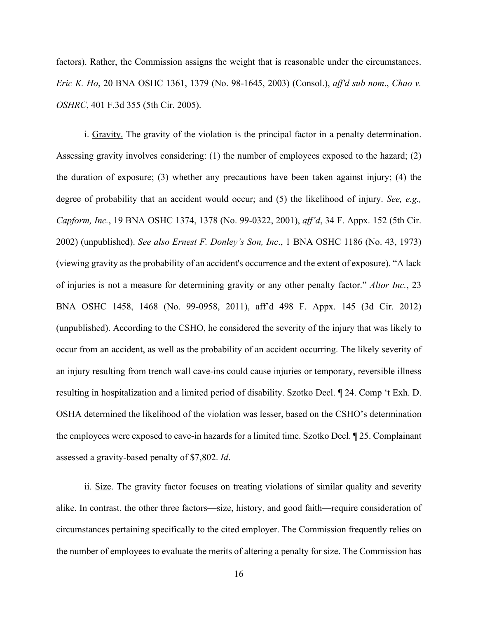factors). Rather, the Commission assigns the weight that is reasonable under the circumstances. *Eric K. Ho*, 20 BNA OSHC 1361, 1379 (No. 98-1645, 2003) (Consol.), *aff'd sub nom*., *Chao v. OSHRC*, 401 F.3d 355 (5th Cir. 2005).

resulting in hospitalization and a limited period of disability. Szotko Decl. ¶ 24. Comp 't Exh. D.<br>OSHA determined the likelihood of the violation was lesser, based on the CSHO's determination i. Gravity. The gravity of the violation is the principal factor in a penalty determination. Assessing gravity involves considering: (1) the number of employees exposed to the hazard; (2) the duration of exposure; (3) whether any precautions have been taken against injury; (4) the degree of probability that an accident would occur; and (5) the likelihood of injury. *See, e.g., Capform, Inc.*, 19 BNA OSHC 1374, 1378 (No. 99-0322, 2001), *aff'd*, 34 F. Appx. 152 (5th Cir. 2002) (unpublished). *See also Ernest F. Donley's Son, Inc*., 1 BNA OSHC 1186 (No. 43, 1973) (viewing gravity as the probability of an accident's occurrence and the extent of exposure). "A lack of injuries is not a measure for determining gravity or any other penalty factor." *Altor Inc.*, 23 BNA OSHC 1458, 1468 (No. 99-0958, 2011), aff'd 498 F. Appx. 145 (3d Cir. 2012) (unpublished). According to the CSHO, he considered the severity of the injury that was likely to occur from an accident, as well as the probability of an accident occurring. The likely severity of an injury resulting from trench wall cave-ins could cause injuries or temporary, reversible illness the employees were exposed to cave-in hazards for a limited time. Szotko Decl. ¶ 25. Complainant assessed a gravity-based penalty of \$7,802. *Id*.

ii. Size. The gravity factor focuses on treating violations of similar quality and severity alike. In contrast, the other three factors—size, history, and good faith—require consideration of circumstances pertaining specifically to the cited employer. The Commission frequently relies on the number of employees to evaluate the merits of altering a penalty for size. The Commission has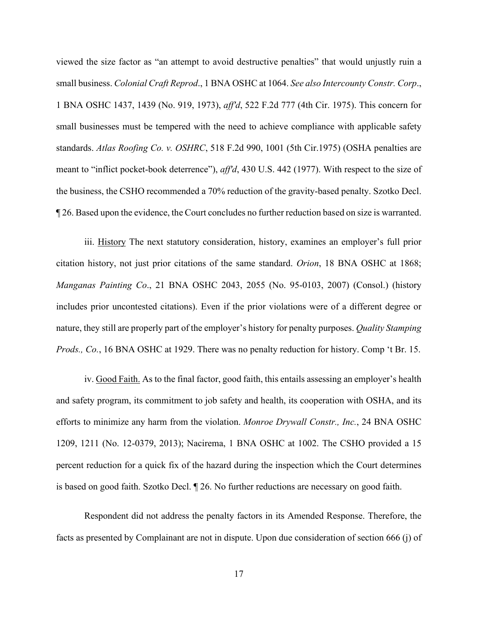viewed the size factor as "an attempt to avoid destructive penalties" that would unjustly ruin a small business. *Colonial Craft Reprod*., 1 BNA OSHC at 1064. *See also Intercounty Constr. Corp*., 1 BNA OSHC 1437, 1439 (No. 919, 1973), *aff'd*, 522 F.2d 777 (4th Cir. 1975). This concern for small businesses must be tempered with the need to achieve compliance with applicable safety standards. *Atlas Roofing Co. v. OSHRC*, 518 F.2d 990, 1001 (5th Cir.1975) (OSHA penalties are meant to "inflict pocket-book deterrence"), *aff'd*, 430 U.S. 442 (1977). With respect to the size of the business, the CSHO recommended a 70% reduction of the gravity-based penalty. Szotko Decl. ¶ 26. Based upon the evidence, the Court concludes no further reduction based on size is warranted.

iii. History The next statutory consideration, history, examines an employer's full prior citation history, not just prior citations of the same standard. *Orion*, 18 BNA OSHC at 1868; *Manganas Painting Co*., 21 BNA OSHC 2043, 2055 (No. 95-0103, 2007) (Consol.) (history includes prior uncontested citations). Even if the prior violations were of a different degree or nature, they still are properly part of the employer's history for penalty purposes. *Quality Stamping Prods., Co.*, 16 BNA OSHC at 1929. There was no penalty reduction for history. Comp 't Br. 15.

iv. Good Faith. As to the final factor, good faith, this entails assessing an employer's health and safety program, its commitment to job safety and health, its cooperation with OSHA, and its efforts to minimize any harm from the violation. *Monroe Drywall Constr., Inc.*, 24 BNA OSHC 1209, 1211 (No. 12-0379, 2013); Nacirema, 1 BNA OSHC at 1002. The CSHO provided a 15 percent reduction for a quick fix of the hazard during the inspection which the Court determines is based on good faith. Szotko Decl. ¶ 26. No further reductions are necessary on good faith.

Respondent did not address the penalty factors in its Amended Response. Therefore, the facts as presented by Complainant are not in dispute. Upon due consideration of section 666 (j) of